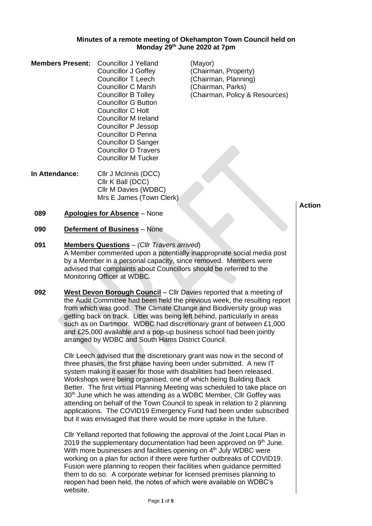#### **Minutes of a remote meeting of Okehampton Town Council held on Monday 29th June 2020 at 7pm**

| <b>Members Present:</b> | <b>Councillor J Yelland</b> | (Mayor) |
|-------------------------|-----------------------------|---------|
|                         | <b>Councillor J Goffey</b>  | (Chairm |
|                         | <b>Councillor T Leech</b>   | (Chairm |
|                         | <b>Councillor C Marsh</b>   | (Chairm |
|                         | <b>Councillor B Tolley</b>  | (Chairm |
|                         | <b>Councillor G Button</b>  |         |
|                         | Councillor C Holt           |         |
|                         | Councillor M Ireland        |         |
|                         | Councillor P Jessop         |         |
|                         | <b>Councillor D Penna</b>   |         |
|                         | <b>Councillor D Sanger</b>  |         |
|                         | <b>Councillor D Travers</b> |         |
|                         | <b>Councillor M Tucker</b>  |         |
|                         |                             |         |

**In Attendance:** Cllr J McInnis (DCC) Cllr K Ball (DCC) Cllr M Davies (WDBC) Mrs E James (Town Clerk) (Chairman, Property) (Chairman, Planning) (Chairman, Parks) (Chairman, Policy & Resources)

**Action**

- **089 Apologies for Absence** None
- **090 Deferment of Business** None
- **091 Members Questions** *(Cllr Travers arrived*) A Member commented upon a potentially inappropriate social media post by a Member in a personal capacity, since removed. Members were advised that complaints about Councillors should be referred to the Monitoring Officer at WDBC.
- **092 West Devon Borough Council** Cllr Davies reported that a meeting of the Audit Committee had been held the previous week, the resulting report from which was good. The Climate Change and Biodiversity group was getting back on track. Litter was being left behind, particularly in areas such as on Dartmoor. WDBC had discretionary grant of between £1,000 and £25,000 available and a pop-up business school had been jointly arranged by WDBC and South Hams District Council.

Cllr Leech advised that the discretionary grant was now in the second of three phases, the first phase having been under submitted. A new IT system making it easier for those with disabilities had been released. Workshops were being organised, one of which being Building Back Better. The first virtual Planning Meeting was scheduled to take place on 30<sup>th</sup> June which he was attending as a WDBC Member, Cllr Goffey was attending on behalf of the Town Council to speak in relation to 2 planning applications. The COVID19 Emergency Fund had been under subscribed but it was envisaged that there would be more uptake in the future.

Cllr Yelland reported that following the approval of the Joint Local Plan in 2019 the supplementary documentation had been approved on  $9<sup>th</sup>$  June. With more businesses and facilities opening on 4<sup>th</sup> July WDBC were working on a plan for action if there were further outbreaks of COVID19. Fusion were planning to reopen their facilities when guidance permitted them to do so. A corporate webinar for licensed premises planning to reopen had been held, the notes of which were available on WDBC's website.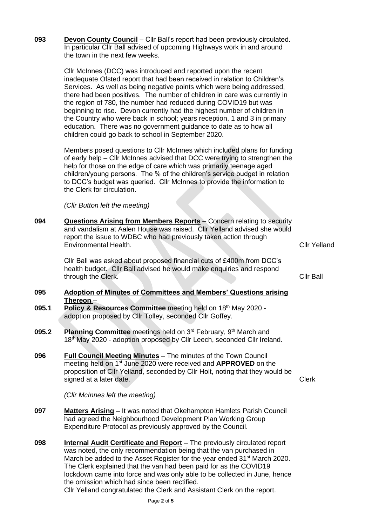| 093   | <b>Devon County Council</b> - Cllr Ball's report had been previously circulated.<br>In particular Cllr Ball advised of upcoming Highways work in and around<br>the town in the next few weeks.                                                                                                                                                                                                                                                                                                                                                                                                                                                             |                     |
|-------|------------------------------------------------------------------------------------------------------------------------------------------------------------------------------------------------------------------------------------------------------------------------------------------------------------------------------------------------------------------------------------------------------------------------------------------------------------------------------------------------------------------------------------------------------------------------------------------------------------------------------------------------------------|---------------------|
|       | Cllr McInnes (DCC) was introduced and reported upon the recent<br>inadequate Ofsted report that had been received in relation to Children's<br>Services. As well as being negative points which were being addressed,<br>there had been positives. The number of children in care was currently in<br>the region of 780, the number had reduced during COVID19 but was<br>beginning to rise. Devon currently had the highest number of children in<br>the Country who were back in school; years reception, 1 and 3 in primary<br>education. There was no government guidance to date as to how all<br>children could go back to school in September 2020. |                     |
|       | Members posed questions to Cllr McInnes which included plans for funding<br>of early help – Cllr McInnes advised that DCC were trying to strengthen the<br>help for those on the edge of care which was primarily teenage aged<br>children/young persons. The % of the children's service budget in relation<br>to DCC's budget was queried. Cllr McInnes to provide the information to<br>the Clerk for circulation.                                                                                                                                                                                                                                      |                     |
|       | (Cllr Button left the meeting)                                                                                                                                                                                                                                                                                                                                                                                                                                                                                                                                                                                                                             |                     |
| 094   | <b>Questions Arising from Members Reports</b> - Concern relating to security<br>and vandalism at Aalen House was raised. Cllr Yelland advised she would<br>report the issue to WDBC who had previously taken action through<br>Environmental Health.                                                                                                                                                                                                                                                                                                                                                                                                       | <b>Cllr Yelland</b> |
|       | Cllr Ball was asked about proposed financial cuts of £400m from DCC's<br>health budget. Cllr Ball advised he would make enquiries and respond<br>through the Clerk.                                                                                                                                                                                                                                                                                                                                                                                                                                                                                        | <b>Cllr Ball</b>    |
| 095   | <b>Adoption of Minutes of Committees and Members' Questions arising</b>                                                                                                                                                                                                                                                                                                                                                                                                                                                                                                                                                                                    |                     |
| 095.1 | <u>Thereon –</u><br>Policy & Resources Committee meeting held on 18th May 2020 -<br>adoption proposed by Cllr Tolley, seconded Cllr Goffey.                                                                                                                                                                                                                                                                                                                                                                                                                                                                                                                |                     |
| 095.2 | <b>Planning Committee</b> meetings held on 3 <sup>rd</sup> February, 9 <sup>th</sup> March and<br>18th May 2020 - adoption proposed by Cllr Leech, seconded Cllr Ireland.                                                                                                                                                                                                                                                                                                                                                                                                                                                                                  |                     |
| 096   | <b>Full Council Meeting Minutes</b> - The minutes of the Town Council<br>meeting held on 1 <sup>st</sup> June 2020 were received and <b>APPROVED</b> on the<br>proposition of Cllr Yelland, seconded by Cllr Holt, noting that they would be<br>signed at a later date.                                                                                                                                                                                                                                                                                                                                                                                    | <b>Clerk</b>        |
|       | (Cllr McInnes left the meeting)                                                                                                                                                                                                                                                                                                                                                                                                                                                                                                                                                                                                                            |                     |
| 097   | <b>Matters Arising</b> – It was noted that Okehampton Hamlets Parish Council<br>had agreed the Neighbourhood Development Plan Working Group<br>Expenditure Protocol as previously approved by the Council.                                                                                                                                                                                                                                                                                                                                                                                                                                                 |                     |
| 098   | <b>Internal Audit Certificate and Report</b> - The previously circulated report<br>was noted, the only recommendation being that the van purchased in<br>March be added to the Asset Register for the year ended 31 <sup>st</sup> March 2020.<br>The Clerk explained that the van had been paid for as the COVID19<br>lockdown came into force and was only able to be collected in June, hence<br>the omission which had since been rectified.<br>Cllr Yelland congratulated the Clerk and Assistant Clerk on the report.                                                                                                                                 |                     |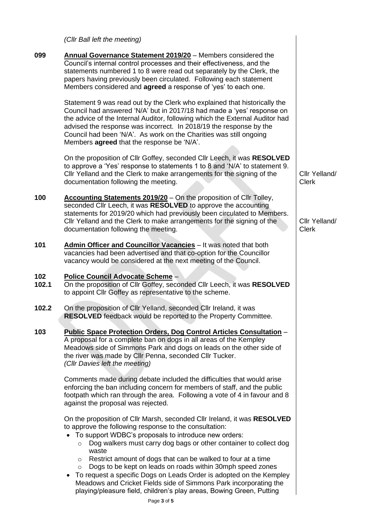*(Cllr Ball left the meeting)*

|              | (Cllr Ball left the meeting)                                                                                                                                                                                                                                                                                                                                                                                                  |                               |
|--------------|-------------------------------------------------------------------------------------------------------------------------------------------------------------------------------------------------------------------------------------------------------------------------------------------------------------------------------------------------------------------------------------------------------------------------------|-------------------------------|
| 099          | <b>Annual Governance Statement 2019/20</b> - Members considered the<br>Council's internal control processes and their effectiveness, and the<br>statements numbered 1 to 8 were read out separately by the Clerk, the<br>papers having previously been circulated. Following each statement<br>Members considered and agreed a response of 'yes' to each one.                                                                 |                               |
|              | Statement 9 was read out by the Clerk who explained that historically the<br>Council had answered 'N/A' but in 2017/18 had made a 'yes' response on<br>the advice of the Internal Auditor, following which the External Auditor had<br>advised the response was incorrect. In 2018/19 the response by the<br>Council had been 'N/A'. As work on the Charities was still ongoing<br>Members agreed that the response be 'N/A'. |                               |
|              | On the proposition of Cllr Goffey, seconded Cllr Leech, it was RESOLVED<br>to approve a 'Yes' response to statements 1 to 8 and 'N/A' to statement 9.<br>Cllr Yelland and the Clerk to make arrangements for the signing of the<br>documentation following the meeting.                                                                                                                                                       | Cllr Yelland/<br><b>Clerk</b> |
| 100          | <b>Accounting Statements 2019/20</b> – On the proposition of Cllr Tolley,<br>seconded Cllr Leech, it was RESOLVED to approve the accounting<br>statements for 2019/20 which had previously been circulated to Members.<br>Cllr Yelland and the Clerk to make arrangements for the signing of the<br>documentation following the meeting.                                                                                      | Cllr Yelland/<br><b>Clerk</b> |
| 101          | Admin Officer and Councillor Vacancies - It was noted that both<br>vacancies had been advertised and that co-option for the Councillor<br>vacancy would be considered at the next meeting of the Council.                                                                                                                                                                                                                     |                               |
| 102<br>102.1 | Police Council Advocate Scheme -<br>On the proposition of Cllr Goffey, seconded Cllr Leech, it was RESOLVED<br>to appoint Cllr Goffey as representative to the scheme.                                                                                                                                                                                                                                                        |                               |
| 102.2        | On the proposition of Cllr Yelland, seconded Cllr Ireland, it was<br>RESOLVED feedback would be reported to the Property Committee.                                                                                                                                                                                                                                                                                           |                               |
| 103          | Public Space Protection Orders, Dog Control Articles Consultation -<br>A proposal for a complete ban on dogs in all areas of the Kempley<br>Meadows side of Simmons Park and dogs on leads on the other side of<br>the river was made by Cllr Penna, seconded Cllr Tucker.<br>(Cllr Davies left the meeting)                                                                                                                  |                               |
|              | Comments made during debate included the difficulties that would arise<br>enforcing the ban including concern for members of staff, and the public<br>footpath which ran through the area. Following a vote of 4 in favour and 8<br>against the proposal was rejected.                                                                                                                                                        |                               |
|              | On the proposition of Cllr Marsh, seconded Cllr Ireland, it was RESOLVED<br>to approve the following response to the consultation:<br>• To support WDBC's proposals to introduce new orders:<br>Dog walkers must carry dog bags or other container to collect dog<br>$\circ$                                                                                                                                                  |                               |
|              | waste<br>Restrict amount of dogs that can be walked to four at a time<br>$\circ$<br>Dogs to be kept on leads on roads within 30mph speed zones<br>$\circ$<br>To request a specific Dogs on Leads Order is adopted on the Kempley<br>Meadows and Cricket Fields side of Simmons Park incorporating the<br>playing/pleasure field, children's play areas, Bowing Green, Putting                                                 |                               |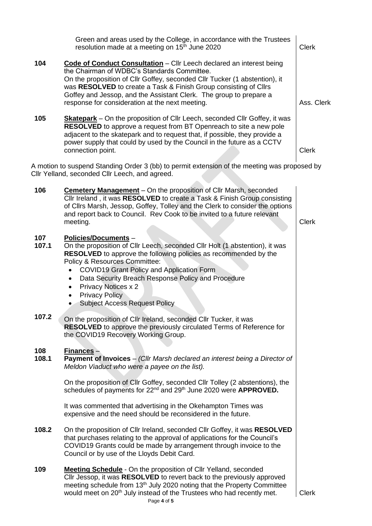|              | Green and areas used by the College, in accordance with the Trustees<br>resolution made at a meeting on 15 <sup>th</sup> June 2020                                                                                                                                                                                                                                                                                            | <b>Clerk</b> |
|--------------|-------------------------------------------------------------------------------------------------------------------------------------------------------------------------------------------------------------------------------------------------------------------------------------------------------------------------------------------------------------------------------------------------------------------------------|--------------|
| 104          | Code of Conduct Consultation - Cllr Leech declared an interest being<br>the Chairman of WDBC's Standards Committee.<br>On the proposition of Cllr Goffey, seconded Cllr Tucker (1 abstention), it<br>was RESOLVED to create a Task & Finish Group consisting of Cllrs<br>Goffey and Jessop, and the Assistant Clerk. The group to prepare a<br>response for consideration at the next meeting.                                | Ass. Clerk   |
| 105          | <b>Skatepark</b> – On the proposition of Cllr Leech, seconded Cllr Goffey, it was<br><b>RESOLVED</b> to approve a request from BT Openreach to site a new pole<br>adjacent to the skatepark and to request that, if possible, they provide a<br>power supply that could by used by the Council in the future as a CCTV<br>connection point.                                                                                   | <b>Clerk</b> |
|              | A motion to suspend Standing Order 3 (bb) to permit extension of the meeting was proposed by<br>Cllr Yelland, seconded Cllr Leech, and agreed.                                                                                                                                                                                                                                                                                |              |
| 106          | <b>Cemetery Management</b> – On the proposition of Cllr Marsh, seconded<br>Cllr Ireland, it was RESOLVED to create a Task & Finish Group consisting<br>of Cllrs Marsh, Jessop, Goffey, Tolley and the Clerk to consider the options<br>and report back to Council. Rev Cook to be invited to a future relevant<br>meeting.                                                                                                    | <b>Clerk</b> |
| 107<br>107.1 | <b>Policies/Documents -</b><br>On the proposition of Cllr Leech, seconded Cllr Holt (1 abstention), it was<br><b>RESOLVED</b> to approve the following policies as recommended by the<br>Policy & Resources Committee:<br>COVID19 Grant Policy and Application Form<br>Data Security Breach Response Policy and Procedure<br>٠<br><b>Privacy Notices x 2</b><br><b>Privacy Policy</b><br><b>Subject Access Request Policy</b> |              |
| 107.2        | On the proposition of Cllr Ireland, seconded Cllr Tucker, it was<br><b>RESOLVED</b> to approve the previously circulated Terms of Reference for<br>the COVID19 Recovery Working Group.                                                                                                                                                                                                                                        |              |
| 108<br>108.1 | <b>Finances-</b><br><b>Payment of Invoices</b> – (Cllr Marsh declared an interest being a Director of<br>Meldon Viaduct who were a payee on the list).                                                                                                                                                                                                                                                                        |              |
|              | On the proposition of Cllr Goffey, seconded Cllr Tolley (2 abstentions), the<br>schedules of payments for 22 <sup>nd</sup> and 29 <sup>th</sup> June 2020 were APPROVED.                                                                                                                                                                                                                                                      |              |
|              | It was commented that advertising in the Okehampton Times was<br>expensive and the need should be reconsidered in the future.                                                                                                                                                                                                                                                                                                 |              |
| 108.2        | On the proposition of Cllr Ireland, seconded Cllr Goffey, it was RESOLVED<br>that purchases relating to the approval of applications for the Council's<br>COVID19 Grants could be made by arrangement through invoice to the<br>Council or by use of the Lloyds Debit Card.                                                                                                                                                   |              |
| 109          | <b>Meeting Schedule</b> - On the proposition of Cllr Yelland, seconded<br>Cllr Jessop, it was RESOLVED to revert back to the previously approved<br>meeting schedule from 13 <sup>th</sup> July 2020 noting that the Property Committee<br>would meet on 20 <sup>th</sup> July instead of the Trustees who had recently met.                                                                                                  | <b>Clerk</b> |